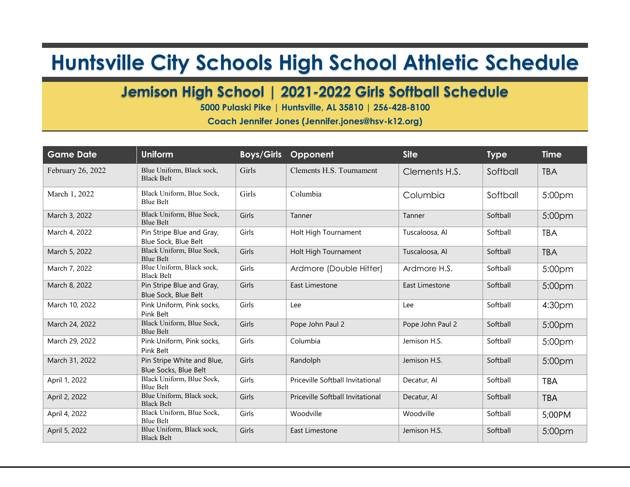## **Huntsville City Schools High School Athletic Schedule**

## **Jemison High School | 2021-2022 Girls Softball Schedule**

**5000 Pulaski Pike | Huntsville, AL 35810 | 256-428-8100**

**Coach Jennifer Jones (Jennifer.jones@hsv-k12.org)**

| <b>Game Date</b>  | <b>Uniform</b>                                      | <b>Boys/Girls</b> | Opponent                         | <b>Site</b>      | <b>Type</b> | <b>Time</b>        |
|-------------------|-----------------------------------------------------|-------------------|----------------------------------|------------------|-------------|--------------------|
| February 26, 2022 | Blue Uniform, Black sock,<br><b>Black Belt</b>      | Girls             | Clements H.S. Tournament         | Clements H.S.    | Softball    | <b>TBA</b>         |
| March 1, 2022     | Black Uniform, Blue Sock,<br>Blue Belt              | Girls             | Columbia                         | Columbia         | Softball    | 5:00 <sub>pm</sub> |
| March 3, 2022     | Black Uniform, Blue Sock,<br><b>Blue Belt</b>       | Girls             | Tanner                           | Tanner           | Softball    | 5:00pm             |
| March 4, 2022     | Pin Stripe Blue and Gray,<br>Blue Sock, Blue Belt   | Girls             | Holt High Tournament             | Tuscaloosa, Al   | Softball    | <b>TBA</b>         |
| March 5, 2022     | Black Uniform, Blue Sock,<br><b>Blue Belt</b>       | Girls             | Holt High Tournament             | Tuscaloosa, Al   | Softball    | <b>TBA</b>         |
| March 7, 2022     | Blue Uniform, Black sock,<br><b>Black Belt</b>      | Girls             | Ardmore (Double Hitter)          | Ardmore H.S.     | Softball    | 5:00 <sub>pm</sub> |
| March 8, 2022     | Pin Stripe Blue and Gray,<br>Blue Sock, Blue Belt   | Girls             | East Limestone                   | East Limestone   | Softball    | 5:00pm             |
| March 10, 2022    | Pink Uniform, Pink socks,<br>Pink Belt              | Girls             | Lee                              | Lee              | Softball    | 4:30 <sub>pm</sub> |
| March 24, 2022    | Black Uniform, Blue Sock,<br><b>Blue Belt</b>       | Girls             | Pope John Paul 2                 | Pope John Paul 2 | Softball    | 5:00 <sub>pm</sub> |
| March 29, 2022    | Pink Uniform, Pink socks,<br>Pink Belt              | Girls             | Columbia                         | Jemison H.S.     | Softball    | 5:00pm             |
| March 31, 2022    | Pin Stripe White and Blue,<br>Blue Socks, Blue Belt | Girls             | Randolph                         | Jemison H.S.     | Softball    | 5:00 <sub>pm</sub> |
| April 1, 2022     | Black Uniform, Blue Sock,<br><b>Blue Belt</b>       | Girls             | Priceville Softball Invitational | Decatur, Al      | Softball    | <b>TBA</b>         |
| April 2, 2022     | Blue Uniform, Black sock,<br><b>Black Belt</b>      | Girls             | Priceville Softball Invitational | Decatur, Al      | Softball    | <b>TBA</b>         |
| April 4, 2022     | Black Uniform, Blue Sock,<br><b>Blue Belt</b>       | Girls             | Woodville                        | Woodville        | Softball    | 5;00PM             |
| April 5, 2022     | Blue Uniform, Black sock,<br><b>Black Belt</b>      | Girls             | East Limestone                   | Jemison H.S.     | Softball    | 5:00pm             |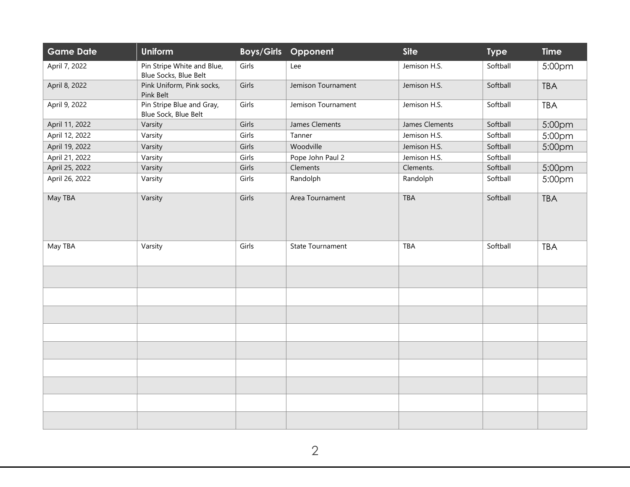| <b>Game Date</b> | <b>Uniform</b>                                      |       | <b>Boys/Girls Opponent</b> | <b>Site</b>    | <b>Type</b> | <b>Time</b> |
|------------------|-----------------------------------------------------|-------|----------------------------|----------------|-------------|-------------|
| April 7, 2022    | Pin Stripe White and Blue,<br>Blue Socks, Blue Belt | Girls | Lee                        | Jemison H.S.   | Softball    | 5:00pm      |
| April 8, 2022    | Pink Uniform, Pink socks,<br>Pink Belt              | Girls | Jemison Tournament         | Jemison H.S.   | Softball    | <b>TBA</b>  |
| April 9, 2022    | Pin Stripe Blue and Gray,<br>Blue Sock, Blue Belt   | Girls | Jemison Tournament         | Jemison H.S.   | Softball    | <b>TBA</b>  |
| April 11, 2022   | Varsity                                             | Girls | James Clements             | James Clements | Softball    | 5:00pm      |
| April 12, 2022   | Varsity                                             | Girls | Tanner                     | Jemison H.S.   | Softball    | 5:00pm      |
| April 19, 2022   | Varsity                                             | Girls | Woodville                  | Jemison H.S.   | Softball    | 5:00pm      |
| April 21, 2022   | Varsity                                             | Girls | Pope John Paul 2           | Jemison H.S.   | Softball    |             |
| April 25, 2022   | Varsity                                             | Girls | Clements                   | Clements.      | Softball    | 5:00pm      |
| April 26, 2022   | Varsity                                             | Girls | Randolph                   | Randolph       | Softball    | 5:00pm      |
| May TBA          | Varsity                                             | Girls | Area Tournament            | <b>TBA</b>     | Softball    | <b>TBA</b>  |
| May TBA          | Varsity                                             | Girls | <b>State Tournament</b>    | TBA            | Softball    | <b>TBA</b>  |
|                  |                                                     |       |                            |                |             |             |
|                  |                                                     |       |                            |                |             |             |
|                  |                                                     |       |                            |                |             |             |
|                  |                                                     |       |                            |                |             |             |
|                  |                                                     |       |                            |                |             |             |
|                  |                                                     |       |                            |                |             |             |
|                  |                                                     |       |                            |                |             |             |
|                  |                                                     |       |                            |                |             |             |
|                  |                                                     |       |                            |                |             |             |